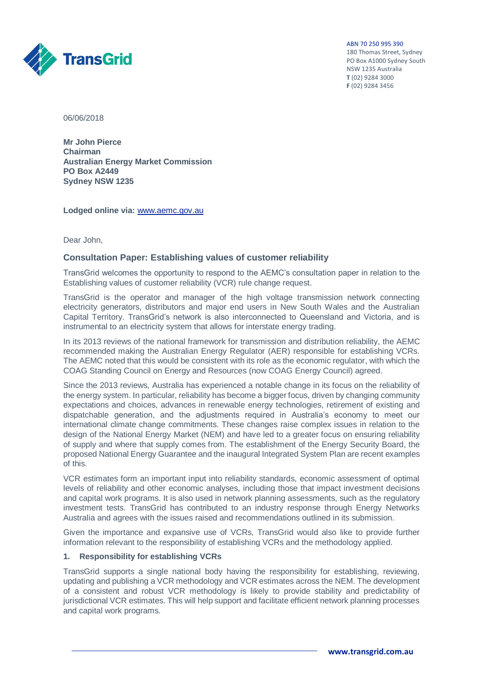ABN 70 250 995 390

180 Thomas Street, Sydney PO Box A1000 Sydney South NSW 1235 Australia **T** (02) 9284 3000 **F** (02) 9284 3456



06/06/2018

**Mr John Pierce Chairman Australian Energy Market Commission PO Box A2449 Sydney NSW 1235**

**Lodged online via:** [www.aemc.gov.au](http://www.aemc.gov.au/)

Dear John,

### **Consultation Paper: Establishing values of customer reliability**

TransGrid welcomes the opportunity to respond to the AEMC's consultation paper in relation to the Establishing values of customer reliability (VCR) rule change request.

TransGrid is the operator and manager of the high voltage transmission network connecting electricity generators, distributors and major end users in New South Wales and the Australian Capital Territory. TransGrid's network is also interconnected to Queensland and Victoria, and is instrumental to an electricity system that allows for interstate energy trading.

In its 2013 reviews of the national framework for transmission and distribution reliability, the AEMC recommended making the Australian Energy Regulator (AER) responsible for establishing VCRs. The AEMC noted that this would be consistent with its role as the economic regulator, with which the COAG Standing Council on Energy and Resources (now COAG Energy Council) agreed.

Since the 2013 reviews, Australia has experienced a notable change in its focus on the reliability of the energy system. In particular, reliability has become a bigger focus, driven by changing community expectations and choices, advances in renewable energy technologies, retirement of existing and dispatchable generation, and the adjustments required in Australia's economy to meet our international climate change commitments. These changes raise complex issues in relation to the design of the National Energy Market (NEM) and have led to a greater focus on ensuring reliability of supply and where that supply comes from. The establishment of the Energy Security Board, the proposed National Energy Guarantee and the inaugural Integrated System Plan are recent examples of this.

VCR estimates form an important input into reliability standards, economic assessment of optimal levels of reliability and other economic analyses, including those that impact investment decisions and capital work programs. It is also used in network planning assessments, such as the regulatory investment tests. TransGrid has contributed to an industry response through Energy Networks Australia and agrees with the issues raised and recommendations outlined in its submission.

Given the importance and expansive use of VCRs, TransGrid would also like to provide further information relevant to the responsibility of establishing VCRs and the methodology applied.

## **1. Responsibility for establishing VCRs**

TransGrid supports a single national body having the responsibility for establishing, reviewing, updating and publishing a VCR methodology and VCR estimates across the NEM. The development of a consistent and robust VCR methodology is likely to provide stability and predictability of jurisdictional VCR estimates. This will help support and facilitate efficient network planning processes and capital work programs.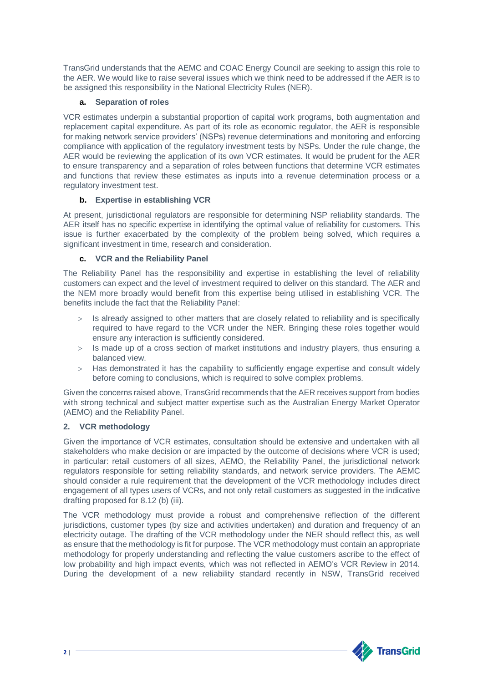TransGrid understands that the AEMC and COAC Energy Council are seeking to assign this role to the AER. We would like to raise several issues which we think need to be addressed if the AER is to be assigned this responsibility in the National Electricity Rules (NER).

# **a. Separation of roles**

VCR estimates underpin a substantial proportion of capital work programs, both augmentation and replacement capital expenditure. As part of its role as economic regulator, the AER is responsible for making network service providers' (NSPs) revenue determinations and monitoring and enforcing compliance with application of the regulatory investment tests by NSPs. Under the rule change, the AER would be reviewing the application of its own VCR estimates. It would be prudent for the AER to ensure transparency and a separation of roles between functions that determine VCR estimates and functions that review these estimates as inputs into a revenue determination process or a regulatory investment test.

# **b. Expertise in establishing VCR**

At present, jurisdictional regulators are responsible for determining NSP reliability standards. The AER itself has no specific expertise in identifying the optimal value of reliability for customers. This issue is further exacerbated by the complexity of the problem being solved, which requires a significant investment in time, research and consideration.

## **c. VCR and the Reliability Panel**

The Reliability Panel has the responsibility and expertise in establishing the level of reliability customers can expect and the level of investment required to deliver on this standard. The AER and the NEM more broadly would benefit from this expertise being utilised in establishing VCR. The benefits include the fact that the Reliability Panel:

- Is already assigned to other matters that are closely related to reliability and is specifically required to have regard to the VCR under the NER. Bringing these roles together would ensure any interaction is sufficiently considered.
- Is made up of a cross section of market institutions and industry players, thus ensuring a balanced view.
- > Has demonstrated it has the capability to sufficiently engage expertise and consult widely before coming to conclusions, which is required to solve complex problems.

Given the concerns raised above, TransGrid recommends that the AER receives support from bodies with strong technical and subject matter expertise such as the Australian Energy Market Operator (AEMO) and the Reliability Panel.

## **2. VCR methodology**

Given the importance of VCR estimates, consultation should be extensive and undertaken with all stakeholders who make decision or are impacted by the outcome of decisions where VCR is used; in particular: retail customers of all sizes, AEMO, the Reliability Panel, the jurisdictional network regulators responsible for setting reliability standards, and network service providers. The AEMC should consider a rule requirement that the development of the VCR methodology includes direct engagement of all types users of VCRs, and not only retail customers as suggested in the indicative drafting proposed for 8.12 (b) (iii).

The VCR methodology must provide a robust and comprehensive reflection of the different jurisdictions, customer types (by size and activities undertaken) and duration and frequency of an electricity outage. The drafting of the VCR methodology under the NER should reflect this, as well as ensure that the methodology is fit for purpose. The VCR methodology must contain an appropriate methodology for properly understanding and reflecting the value customers ascribe to the effect of low probability and high impact events, which was not reflected in AEMO's VCR Review in 2014. During the development of a new reliability standard recently in NSW, TransGrid received